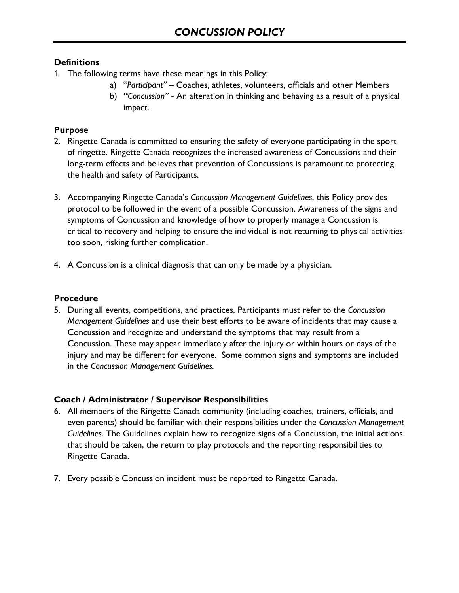# **Definitions**

- 1. The following terms have these meanings in this Policy:
	- a) "*Participant"*  Coaches, athletes, volunteers, officials and other Members
	- b) *"Concussion"* An alteration in thinking and behaving as a result of a physical impact.

# **Purpose**

- 2. Ringette Canada is committed to ensuring the safety of everyone participating in the sport of ringette. Ringette Canada recognizes the increased awareness of Concussions and their long-term effects and believes that prevention of Concussions is paramount to protecting the health and safety of Participants.
- 3. Accompanying Ringette Canada's *Concussion Management Guidelines*, this Policy provides protocol to be followed in the event of a possible Concussion. Awareness of the signs and symptoms of Concussion and knowledge of how to properly manage a Concussion is critical to recovery and helping to ensure the individual is not returning to physical activities too soon, risking further complication.
- 4. A Concussion is a clinical diagnosis that can only be made by a physician.

# **Procedure**

5. During all events, competitions, and practices, Participants must refer to the *Concussion Management Guidelines* and use their best efforts to be aware of incidents that may cause a Concussion and recognize and understand the symptoms that may result from a Concussion. These may appear immediately after the injury or within hours or days of the injury and may be different for everyone. Some common signs and symptoms are included in the *Concussion Management Guidelines.*

# **Coach / Administrator / Supervisor Responsibilities**

- 6. All members of the Ringette Canada community (including coaches, trainers, officials, and even parents) should be familiar with their responsibilities under the *Concussion Management Guidelines*. The Guidelines explain how to recognize signs of a Concussion, the initial actions that should be taken, the return to play protocols and the reporting responsibilities to Ringette Canada.
- 7. Every possible Concussion incident must be reported to Ringette Canada.